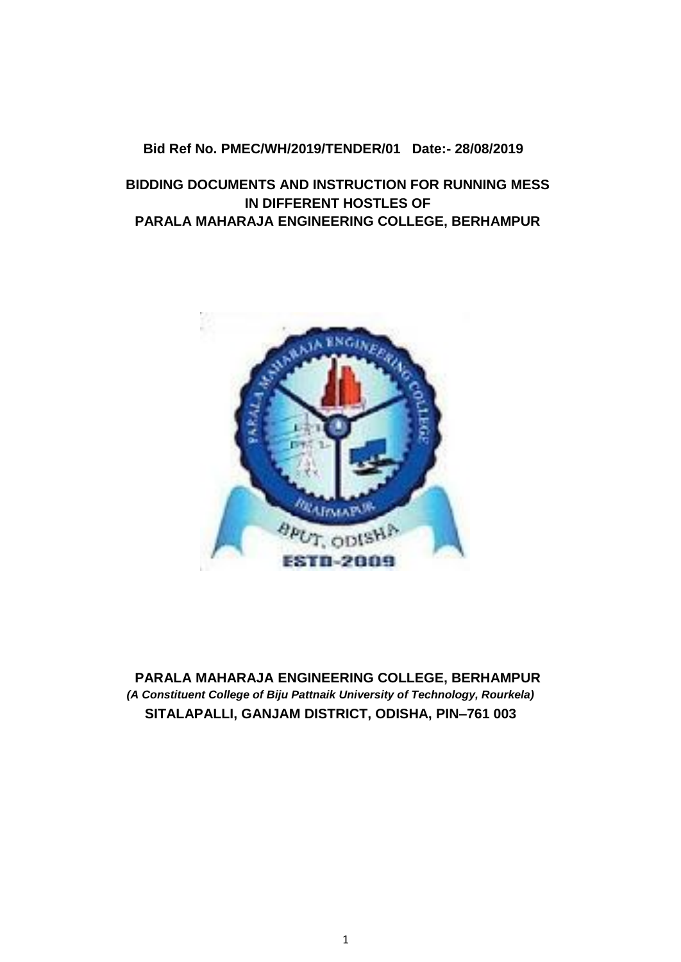#### **Bid Ref No. PMEC/WH/2019/TENDER/01 Date:- 28/08/2019**

## **BIDDING DOCUMENTS AND INSTRUCTION FOR RUNNING MESS IN DIFFERENT HOSTLES OF PARALA MAHARAJA ENGINEERING COLLEGE, BERHAMPUR**



**PARALA MAHARAJA ENGINEERING COLLEGE, BERHAMPUR** *(A Constituent College of Biju Pattnaik University of Technology, Rourkela)*  **SITALAPALLI, GANJAM DISTRICT, ODISHA, PIN–761 003**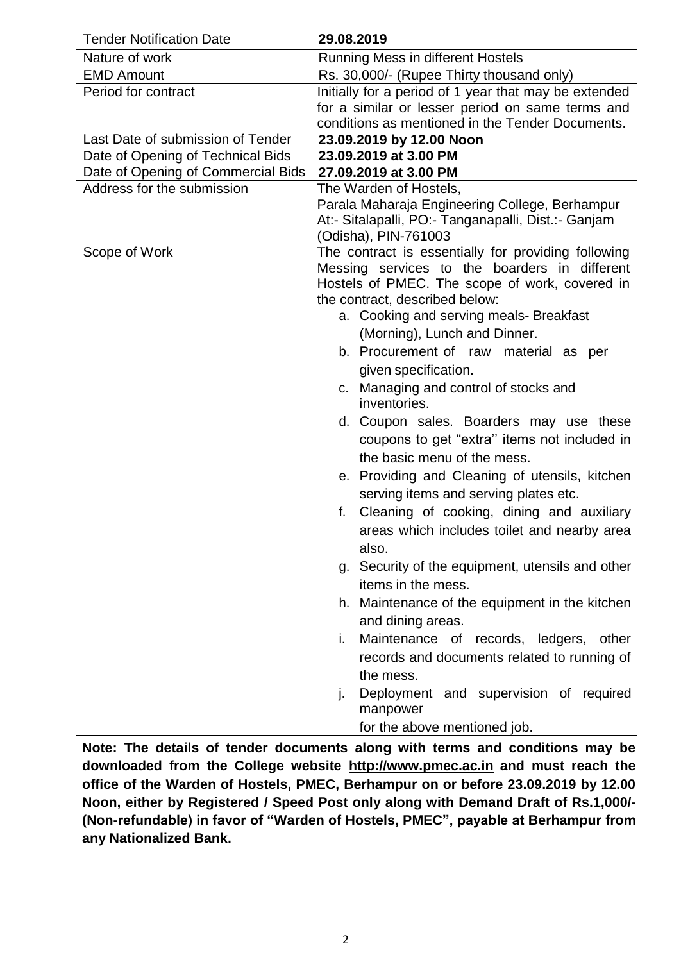| <b>Tender Notification Date</b>    | 29.08.2019                                                                                      |
|------------------------------------|-------------------------------------------------------------------------------------------------|
| Nature of work                     | <b>Running Mess in different Hostels</b>                                                        |
| <b>EMD Amount</b>                  | Rs. 30,000/- (Rupee Thirty thousand only)                                                       |
| Period for contract                | Initially for a period of 1 year that may be extended                                           |
|                                    | for a similar or lesser period on same terms and                                                |
|                                    | conditions as mentioned in the Tender Documents.                                                |
| Last Date of submission of Tender  | 23.09.2019 by 12.00 Noon                                                                        |
| Date of Opening of Technical Bids  | 23.09.2019 at 3.00 PM                                                                           |
| Date of Opening of Commercial Bids | 27.09.2019 at 3.00 PM                                                                           |
| Address for the submission         | The Warden of Hostels,                                                                          |
|                                    | Parala Maharaja Engineering College, Berhampur                                                  |
|                                    | At:- Sitalapalli, PO:- Tanganapalli, Dist.:- Ganjam                                             |
|                                    | (Odisha), PIN-761003                                                                            |
| Scope of Work                      | The contract is essentially for providing following                                             |
|                                    | Messing services to the boarders in different<br>Hostels of PMEC. The scope of work, covered in |
|                                    | the contract, described below:                                                                  |
|                                    | a. Cooking and serving meals- Breakfast                                                         |
|                                    | (Morning), Lunch and Dinner.                                                                    |
|                                    |                                                                                                 |
|                                    | b. Procurement of raw material as per                                                           |
|                                    | given specification.                                                                            |
|                                    | c. Managing and control of stocks and<br>inventories.                                           |
|                                    | d. Coupon sales. Boarders may use these                                                         |
|                                    | coupons to get "extra" items not included in                                                    |
|                                    | the basic menu of the mess.                                                                     |
|                                    | e. Providing and Cleaning of utensils, kitchen                                                  |
|                                    | serving items and serving plates etc.                                                           |
|                                    | Cleaning of cooking, dining and auxiliary<br>f.                                                 |
|                                    | areas which includes toilet and nearby area                                                     |
|                                    | also.                                                                                           |
|                                    | g. Security of the equipment, utensils and other                                                |
|                                    | items in the mess.                                                                              |
|                                    | h. Maintenance of the equipment in the kitchen                                                  |
|                                    | and dining areas.                                                                               |
|                                    | Maintenance of records, ledgers,<br>other<br>i.                                                 |
|                                    | records and documents related to running of                                                     |
|                                    | the mess.                                                                                       |
|                                    | Deployment and supervision of required<br>j.                                                    |
|                                    | manpower                                                                                        |
|                                    | for the above mentioned job.                                                                    |

**Note: The details of tender documents along with terms and conditions may be downloaded from the College website http://www.pmec.ac.in and must reach the office of the Warden of Hostels, PMEC, Berhampur on or before 23.09.2019 by 12.00 Noon, either by Registered / Speed Post only along with Demand Draft of Rs.1,000/- (Non-refundable) in favor of "Warden of Hostels, PMEC", payable at Berhampur from any Nationalized Bank.**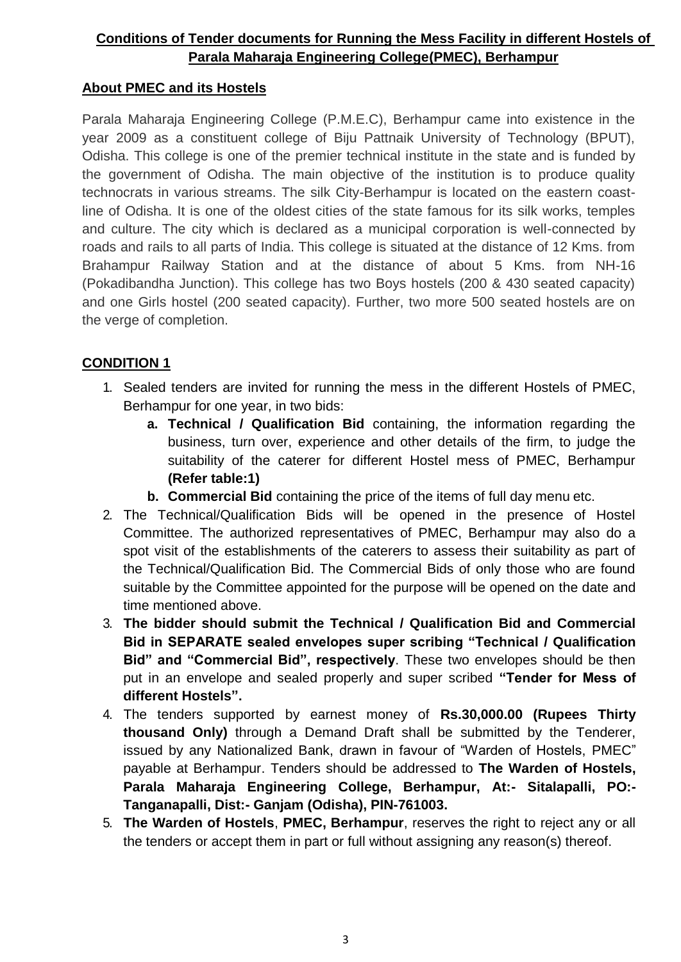## **Conditions of Tender documents for Running the Mess Facility in different Hostels of Parala Maharaja Engineering College(PMEC), Berhampur**

## **About PMEC and its Hostels**

Parala Maharaja Engineering College (P.M.E.C), Berhampur came into existence in the year 2009 as a constituent college of Biju Pattnaik University of Technology (BPUT), Odisha. This college is one of the premier technical institute in the state and is funded by the government of Odisha. The main objective of the institution is to produce quality technocrats in various streams. The silk City-Berhampur is located on the eastern coastline of Odisha. It is one of the oldest cities of the state famous for its silk works, temples and culture. The city which is declared as a municipal corporation is well-connected by roads and rails to all parts of India. This college is situated at the distance of 12 Kms. from Brahampur Railway Station and at the distance of about 5 Kms. from NH-16 (Pokadibandha Junction). This college has two Boys hostels (200 & 430 seated capacity) and one Girls hostel (200 seated capacity). Further, two more 500 seated hostels are on the verge of completion.

## **CONDITION 1**

- 1. Sealed tenders are invited for running the mess in the different Hostels of PMEC, Berhampur for one year, in two bids:
	- **a. Technical / Qualification Bid** containing, the information regarding the business, turn over, experience and other details of the firm, to judge the suitability of the caterer for different Hostel mess of PMEC, Berhampur **(Refer table:1)**
	- **b. Commercial Bid** containing the price of the items of full day menu etc.
- 2. The Technical/Qualification Bids will be opened in the presence of Hostel Committee. The authorized representatives of PMEC, Berhampur may also do a spot visit of the establishments of the caterers to assess their suitability as part of the Technical/Qualification Bid. The Commercial Bids of only those who are found suitable by the Committee appointed for the purpose will be opened on the date and time mentioned above.
- 3. **The bidder should submit the Technical / Qualification Bid and Commercial Bid in SEPARATE sealed envelopes super scribing "Technical / Qualification Bid" and "Commercial Bid", respectively**. These two envelopes should be then put in an envelope and sealed properly and super scribed **"Tender for Mess of different Hostels".**
- 4. The tenders supported by earnest money of **Rs.30,000.00 (Rupees Thirty thousand Only)** through a Demand Draft shall be submitted by the Tenderer, issued by any Nationalized Bank, drawn in favour of "Warden of Hostels, PMEC" payable at Berhampur. Tenders should be addressed to **The Warden of Hostels, Parala Maharaja Engineering College, Berhampur, At:- Sitalapalli, PO:- Tanganapalli, Dist:- Ganjam (Odisha), PIN-761003.**
- 5. **The Warden of Hostels**, **PMEC, Berhampur**, reserves the right to reject any or all the tenders or accept them in part or full without assigning any reason(s) thereof.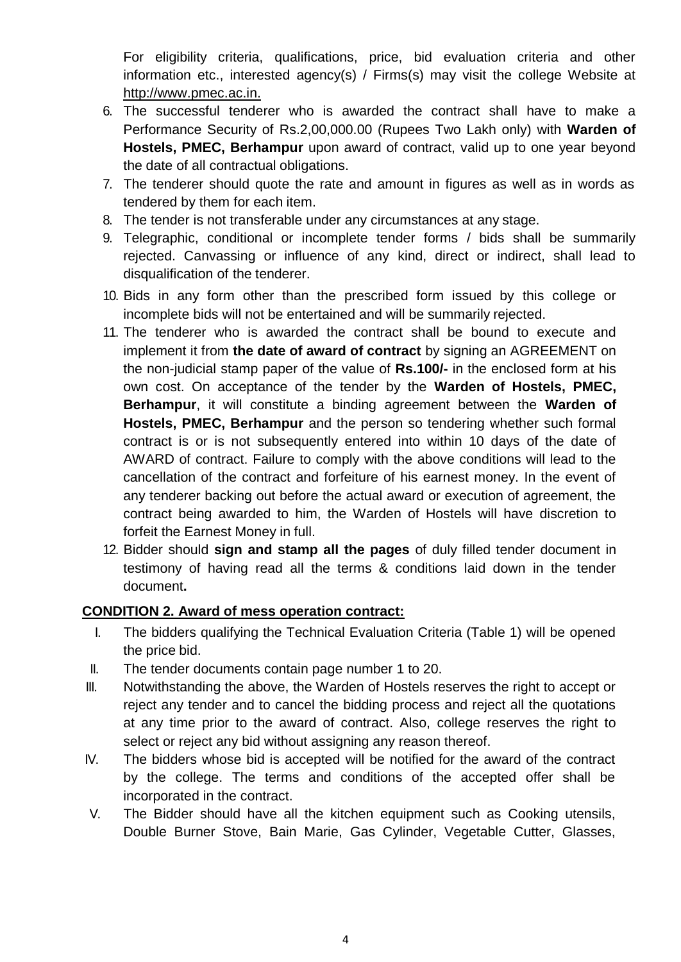For eligibility criteria, qualifications, price, bid evaluation criteria and other information etc., interested agency(s) / Firms(s) may visit the college Website at [http://www.pmec.ac.in.](http://www.pmec.ac.in./)

- 6. The successful tenderer who is awarded the contract shall have to make a Performance Security of Rs.2,00,000.00 (Rupees Two Lakh only) with **Warden of Hostels, PMEC, Berhampur** upon award of contract, valid up to one year beyond the date of all contractual obligations.
- 7. The tenderer should quote the rate and amount in figures as well as in words as tendered by them for each item.
- 8. The tender is not transferable under any circumstances at any stage.
- 9. Telegraphic, conditional or incomplete tender forms / bids shall be summarily rejected. Canvassing or influence of any kind, direct or indirect, shall lead to disqualification of the tenderer.
- 10. Bids in any form other than the prescribed form issued by this college or incomplete bids will not be entertained and will be summarily rejected.
- 11. The tenderer who is awarded the contract shall be bound to execute and implement it from **the date of award of contract** by signing an AGREEMENT on the non-judicial stamp paper of the value of **Rs.100/-** in the enclosed form at his own cost. On acceptance of the tender by the **Warden of Hostels, PMEC, Berhampur**, it will constitute a binding agreement between the **Warden of Hostels, PMEC, Berhampur** and the person so tendering whether such formal contract is or is not subsequently entered into within 10 days of the date of AWARD of contract. Failure to comply with the above conditions will lead to the cancellation of the contract and forfeiture of his earnest money. In the event of any tenderer backing out before the actual award or execution of agreement, the contract being awarded to him, the Warden of Hostels will have discretion to forfeit the Earnest Money in full.
- 12. Bidder should **sign and stamp all the pages** of duly filled tender document in testimony of having read all the terms & conditions laid down in the tender document**.**

### **CONDITION 2. Award of mess operation contract:**

- I. The bidders qualifying the Technical Evaluation Criteria (Table 1) will be opened the price bid.
- II. The tender documents contain page number 1 to 20.
- III. Notwithstanding the above, the Warden of Hostels reserves the right to accept or reject any tender and to cancel the bidding process and reject all the quotations at any time prior to the award of contract. Also, college reserves the right to select or reject any bid without assigning any reason thereof.
- IV. The bidders whose bid is accepted will be notified for the award of the contract by the college. The terms and conditions of the accepted offer shall be incorporated in the contract.
- V. The Bidder should have all the kitchen equipment such as Cooking utensils, Double Burner Stove, Bain Marie, Gas Cylinder, Vegetable Cutter, Glasses,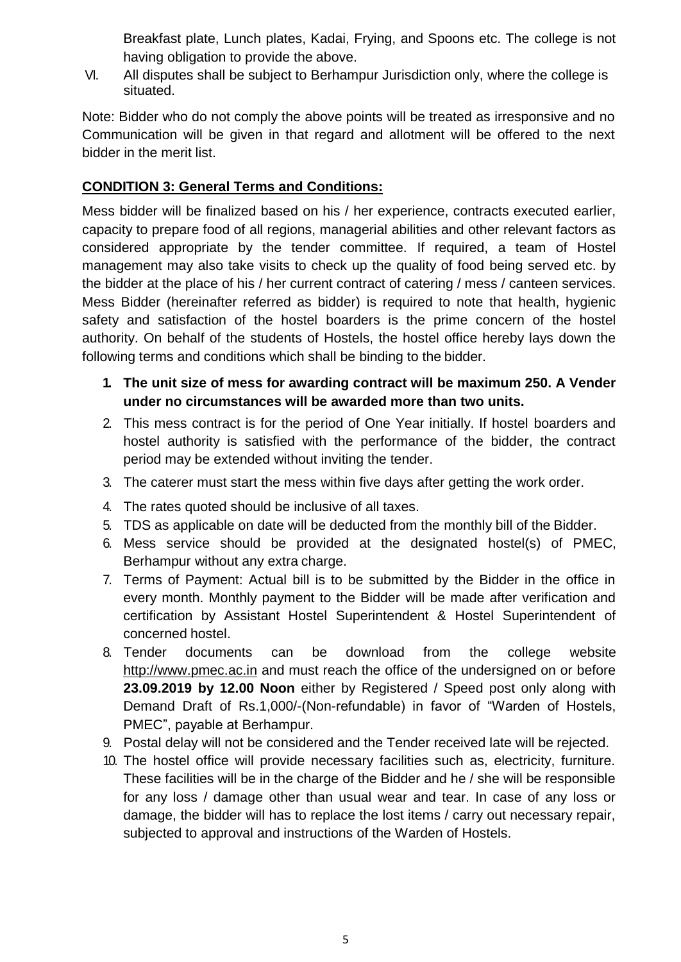Breakfast plate, Lunch plates, Kadai, Frying, and Spoons etc. The college is not having obligation to provide the above.

VI. All disputes shall be subject to Berhampur Jurisdiction only, where the college is situated.

Note: Bidder who do not comply the above points will be treated as irresponsive and no Communication will be given in that regard and allotment will be offered to the next bidder in the merit list.

## **CONDITION 3: General Terms and Conditions:**

Mess bidder will be finalized based on his / her experience, contracts executed earlier, capacity to prepare food of all regions, managerial abilities and other relevant factors as considered appropriate by the tender committee. If required, a team of Hostel management may also take visits to check up the quality of food being served etc. by the bidder at the place of his / her current contract of catering / mess / canteen services. Mess Bidder (hereinafter referred as bidder) is required to note that health, hygienic safety and satisfaction of the hostel boarders is the prime concern of the hostel authority. On behalf of the students of Hostels, the hostel office hereby lays down the following terms and conditions which shall be binding to the bidder.

- **1. The unit size of mess for awarding contract will be maximum 250. A Vender under no circumstances will be awarded more than two units.**
- 2. This mess contract is for the period of One Year initially. If hostel boarders and hostel authority is satisfied with the performance of the bidder, the contract period may be extended without inviting the tender.
- 3. The caterer must start the mess within five days after getting the work order.
- 4. The rates quoted should be inclusive of all taxes.
- 5. TDS as applicable on date will be deducted from the monthly bill of the Bidder.
- 6. Mess service should be provided at the designated hostel(s) of PMEC, Berhampur without any extra charge.
- 7. Terms of Payment: Actual bill is to be submitted by the Bidder in the office in every month. Monthly payment to the Bidder will be made after verification and certification by Assistant Hostel Superintendent & Hostel Superintendent of concerned hostel.
- 8. Tender documents can be download from the college website [http://www.pmec.ac.in](http://www.pmec.ac.in/) and must reach the office of the undersigned on or before **23.09.2019 by 12.00 Noon** either by Registered / Speed post only along with Demand Draft of Rs.1,000/-(Non-refundable) in favor of "Warden of Hostels, PMEC", payable at Berhampur.
- 9. Postal delay will not be considered and the Tender received late will be rejected.
- 10. The hostel office will provide necessary facilities such as, electricity, furniture. These facilities will be in the charge of the Bidder and he / she will be responsible for any loss / damage other than usual wear and tear. In case of any loss or damage, the bidder will has to replace the lost items / carry out necessary repair, subjected to approval and instructions of the Warden of Hostels.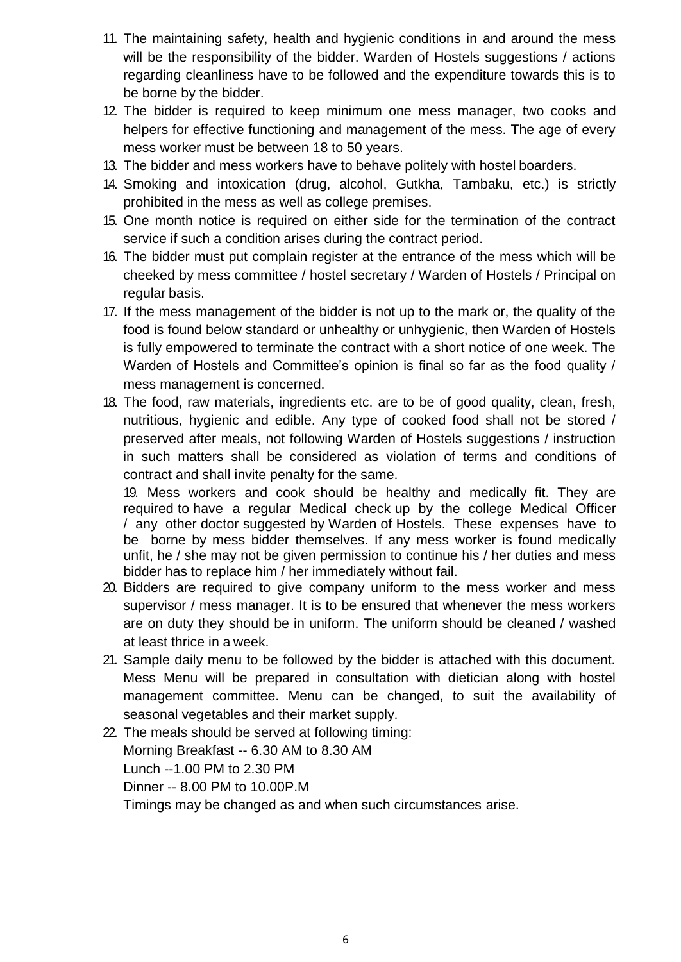- 11. The maintaining safety, health and hygienic conditions in and around the mess will be the responsibility of the bidder. Warden of Hostels suggestions / actions regarding cleanliness have to be followed and the expenditure towards this is to be borne by the bidder.
- 12. The bidder is required to keep minimum one mess manager, two cooks and helpers for effective functioning and management of the mess. The age of every mess worker must be between 18 to 50 years.
- 13. The bidder and mess workers have to behave politely with hostel boarders.
- 14. Smoking and intoxication (drug, alcohol, Gutkha, Tambaku, etc.) is strictly prohibited in the mess as well as college premises.
- 15. One month notice is required on either side for the termination of the contract service if such a condition arises during the contract period.
- 16. The bidder must put complain register at the entrance of the mess which will be cheeked by mess committee / hostel secretary / Warden of Hostels / Principal on regular basis.
- 17. If the mess management of the bidder is not up to the mark or, the quality of the food is found below standard or unhealthy or unhygienic, then Warden of Hostels is fully empowered to terminate the contract with a short notice of one week. The Warden of Hostels and Committee's opinion is final so far as the food quality / mess management is concerned.
- 18. The food, raw materials, ingredients etc. are to be of good quality, clean, fresh, nutritious, hygienic and edible. Any type of cooked food shall not be stored / preserved after meals, not following Warden of Hostels suggestions / instruction in such matters shall be considered as violation of terms and conditions of contract and shall invite penalty for the same.

19. Mess workers and cook should be healthy and medically fit. They are required to have a regular Medical check up by the college Medical Officer / any other doctor suggested by Warden of Hostels. These expenses have to be borne by mess bidder themselves. If any mess worker is found medically unfit, he / she may not be given permission to continue his / her duties and mess bidder has to replace him / her immediately without fail.

- 20. Bidders are required to give company uniform to the mess worker and mess supervisor / mess manager. It is to be ensured that whenever the mess workers are on duty they should be in uniform. The uniform should be cleaned / washed at least thrice in a week.
- 21. Sample daily menu to be followed by the bidder is attached with this document. Mess Menu will be prepared in consultation with dietician along with hostel management committee. Menu can be changed, to suit the availability of seasonal vegetables and their market supply.
- 22. The meals should be served at following timing: Morning Breakfast -- 6.30 AM to 8.30 AM Lunch --1.00 PM to 2.30 PM Dinner -- 8.00 PM to 10.00P.M Timings may be changed as and when such circumstances arise.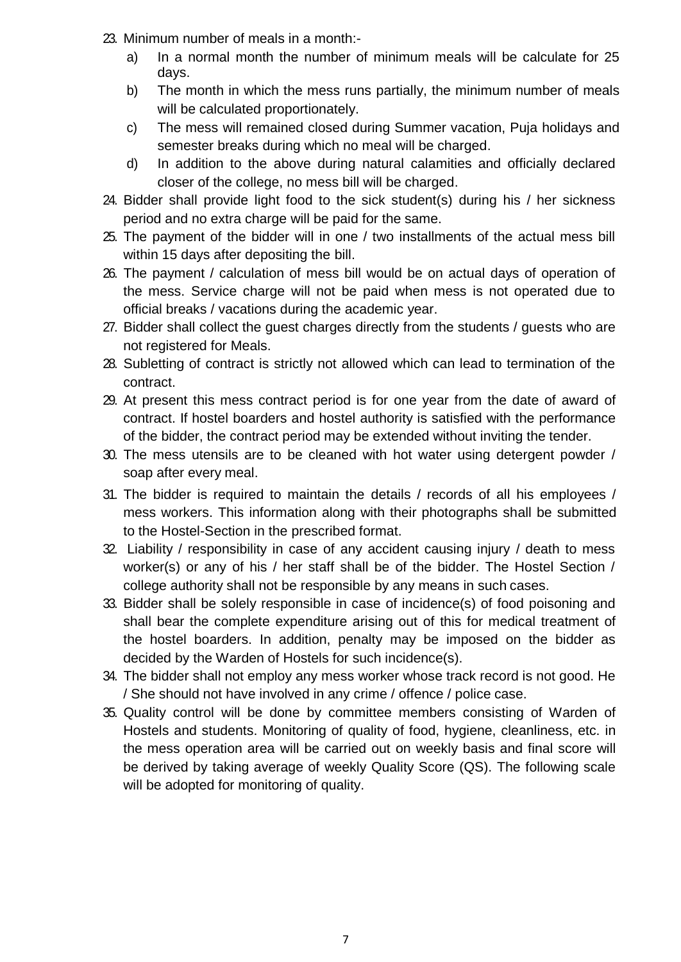- 23. Minimum number of meals in a month:
	- a) In a normal month the number of minimum meals will be calculate for 25 days.
	- b) The month in which the mess runs partially, the minimum number of meals will be calculated proportionately.
	- c) The mess will remained closed during Summer vacation, Puja holidays and semester breaks during which no meal will be charged.
	- d) In addition to the above during natural calamities and officially declared closer of the college, no mess bill will be charged.
- 24. Bidder shall provide light food to the sick student(s) during his / her sickness period and no extra charge will be paid for the same.
- 25. The payment of the bidder will in one / two installments of the actual mess bill within 15 days after depositing the bill.
- 26. The payment / calculation of mess bill would be on actual days of operation of the mess. Service charge will not be paid when mess is not operated due to official breaks / vacations during the academic year.
- 27. Bidder shall collect the guest charges directly from the students / guests who are not registered for Meals.
- 28. Subletting of contract is strictly not allowed which can lead to termination of the contract.
- 29. At present this mess contract period is for one year from the date of award of contract. If hostel boarders and hostel authority is satisfied with the performance of the bidder, the contract period may be extended without inviting the tender.
- 30. The mess utensils are to be cleaned with hot water using detergent powder / soap after every meal.
- 31. The bidder is required to maintain the details / records of all his employees / mess workers. This information along with their photographs shall be submitted to the Hostel-Section in the prescribed format.
- 32. Liability / responsibility in case of any accident causing injury / death to mess worker(s) or any of his / her staff shall be of the bidder. The Hostel Section / college authority shall not be responsible by any means in such cases.
- 33. Bidder shall be solely responsible in case of incidence(s) of food poisoning and shall bear the complete expenditure arising out of this for medical treatment of the hostel boarders. In addition, penalty may be imposed on the bidder as decided by the Warden of Hostels for such incidence(s).
- 34. The bidder shall not employ any mess worker whose track record is not good. He / She should not have involved in any crime / offence / police case.
- 35. Quality control will be done by committee members consisting of Warden of Hostels and students. Monitoring of quality of food, hygiene, cleanliness, etc. in the mess operation area will be carried out on weekly basis and final score will be derived by taking average of weekly Quality Score (QS). The following scale will be adopted for monitoring of quality.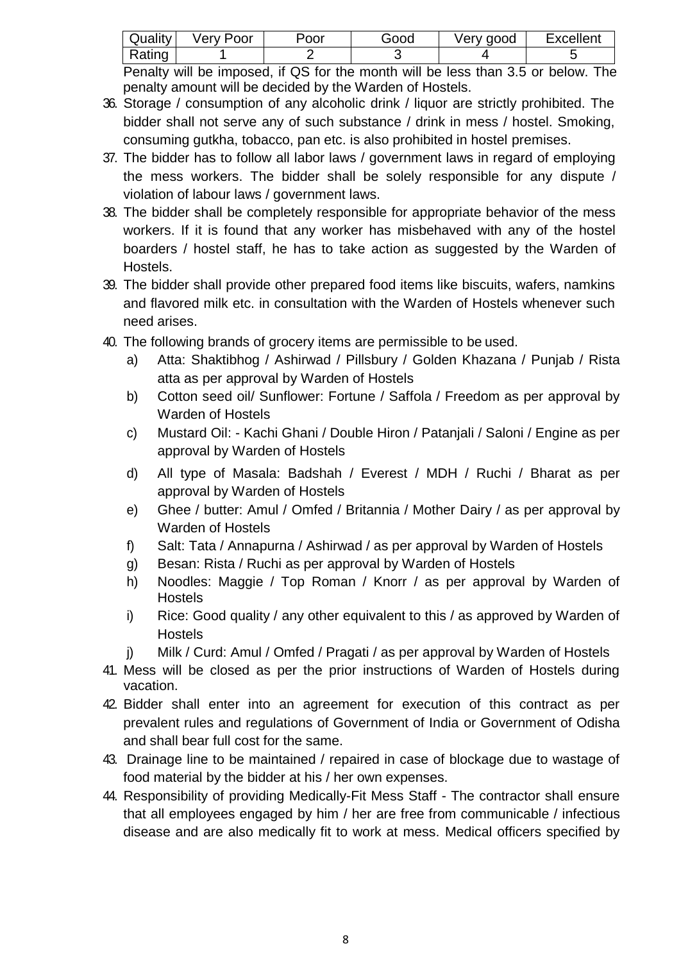| Quality | Very Poor | Poor | Good | Very good | <b>Excellent</b> |
|---------|-----------|------|------|-----------|------------------|
| Rating  |           |      |      |           |                  |

Penalty will be imposed, if QS for the month will be less than 3.5 or below. The penalty amount will be decided by the Warden of Hostels.

- 36. Storage / consumption of any alcoholic drink / liquor are strictly prohibited. The bidder shall not serve any of such substance / drink in mess / hostel. Smoking, consuming gutkha, tobacco, pan etc. is also prohibited in hostel premises.
- 37. The bidder has to follow all labor laws / government laws in regard of employing the mess workers. The bidder shall be solely responsible for any dispute / violation of labour laws / government laws.
- 38. The bidder shall be completely responsible for appropriate behavior of the mess workers. If it is found that any worker has misbehaved with any of the hostel boarders / hostel staff, he has to take action as suggested by the Warden of Hostels.
- 39. The bidder shall provide other prepared food items like biscuits, wafers, namkins and flavored milk etc. in consultation with the Warden of Hostels whenever such need arises.
- 40. The following brands of grocery items are permissible to be used.
	- a) Atta: Shaktibhog / Ashirwad / Pillsbury / Golden Khazana / Punjab / Rista atta as per approval by Warden of Hostels
	- b) Cotton seed oil/ Sunflower: Fortune / Saffola / Freedom as per approval by Warden of Hostels
	- c) Mustard Oil: Kachi Ghani / Double Hiron / Patanjali / Saloni / Engine as per approval by Warden of Hostels
	- d) All type of Masala: Badshah / Everest / MDH / Ruchi / Bharat as per approval by Warden of Hostels
	- e) Ghee / butter: Amul / Omfed / Britannia / Mother Dairy / as per approval by Warden of Hostels
	- f) Salt: Tata / Annapurna / Ashirwad / as per approval by Warden of Hostels
	- g) Besan: Rista / Ruchi as per approval by Warden of Hostels
	- h) Noodles: Maggie / Top Roman / Knorr / as per approval by Warden of **Hostels**
	- i) Rice: Good quality / any other equivalent to this / as approved by Warden of **Hostels**
	- j) Milk / Curd: Amul / Omfed / Pragati / as per approval by Warden of Hostels
- 41. Mess will be closed as per the prior instructions of Warden of Hostels during vacation.
- 42. Bidder shall enter into an agreement for execution of this contract as per prevalent rules and regulations of Government of India or Government of Odisha and shall bear full cost for the same.
- 43. Drainage line to be maintained / repaired in case of blockage due to wastage of food material by the bidder at his / her own expenses.
- 44. Responsibility of providing Medically-Fit Mess Staff The contractor shall ensure that all employees engaged by him / her are free from communicable / infectious disease and are also medically fit to work at mess. Medical officers specified by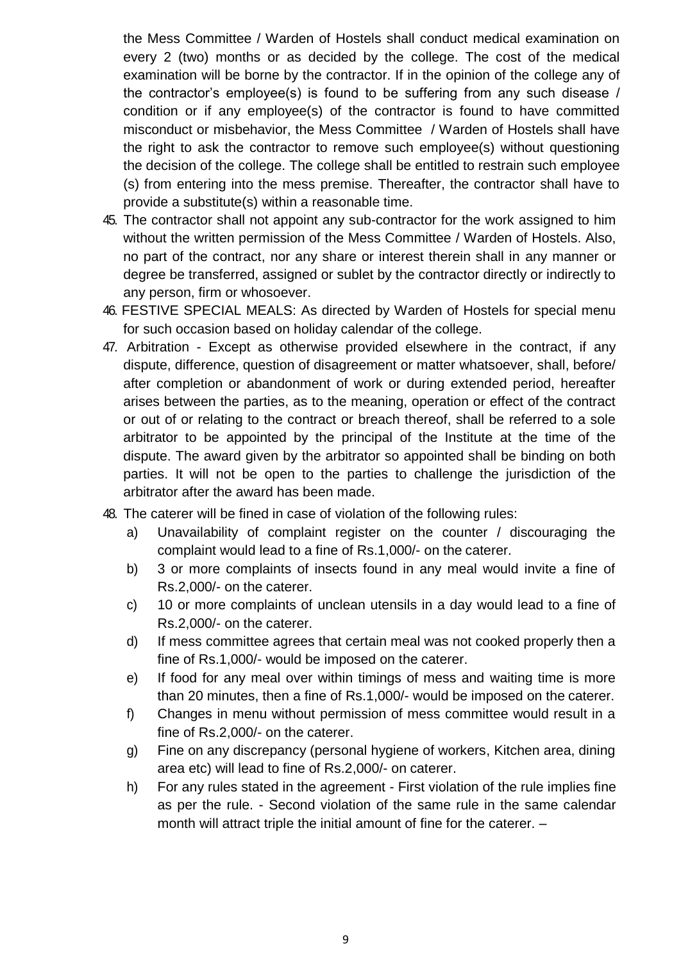the Mess Committee / Warden of Hostels shall conduct medical examination on every 2 (two) months or as decided by the college. The cost of the medical examination will be borne by the contractor. If in the opinion of the college any of the contractor's employee(s) is found to be suffering from any such disease / condition or if any employee(s) of the contractor is found to have committed misconduct or misbehavior, the Mess Committee / Warden of Hostels shall have the right to ask the contractor to remove such employee(s) without questioning the decision of the college. The college shall be entitled to restrain such employee (s) from entering into the mess premise. Thereafter, the contractor shall have to provide a substitute(s) within a reasonable time.

- 45. The contractor shall not appoint any sub-contractor for the work assigned to him without the written permission of the Mess Committee / Warden of Hostels. Also, no part of the contract, nor any share or interest therein shall in any manner or degree be transferred, assigned or sublet by the contractor directly or indirectly to any person, firm or whosoever.
- 46. FESTIVE SPECIAL MEALS: As directed by Warden of Hostels for special menu for such occasion based on holiday calendar of the college.
- 47. Arbitration Except as otherwise provided elsewhere in the contract, if any dispute, difference, question of disagreement or matter whatsoever, shall, before/ after completion or abandonment of work or during extended period, hereafter arises between the parties, as to the meaning, operation or effect of the contract or out of or relating to the contract or breach thereof, shall be referred to a sole arbitrator to be appointed by the principal of the Institute at the time of the dispute. The award given by the arbitrator so appointed shall be binding on both parties. It will not be open to the parties to challenge the jurisdiction of the arbitrator after the award has been made.
- 48. The caterer will be fined in case of violation of the following rules:
	- a) Unavailability of complaint register on the counter / discouraging the complaint would lead to a fine of Rs.1,000/- on the caterer.
	- b) 3 or more complaints of insects found in any meal would invite a fine of Rs.2,000/- on the caterer.
	- c) 10 or more complaints of unclean utensils in a day would lead to a fine of Rs.2,000/- on the caterer.
	- d) If mess committee agrees that certain meal was not cooked properly then a fine of Rs.1,000/- would be imposed on the caterer.
	- e) If food for any meal over within timings of mess and waiting time is more than 20 minutes, then a fine of Rs.1,000/- would be imposed on the caterer.
	- f) Changes in menu without permission of mess committee would result in a fine of Rs.2,000/- on the caterer.
	- g) Fine on any discrepancy (personal hygiene of workers, Kitchen area, dining area etc) will lead to fine of Rs.2,000/- on caterer.
	- h) For any rules stated in the agreement First violation of the rule implies fine as per the rule. - Second violation of the same rule in the same calendar month will attract triple the initial amount of fine for the caterer. –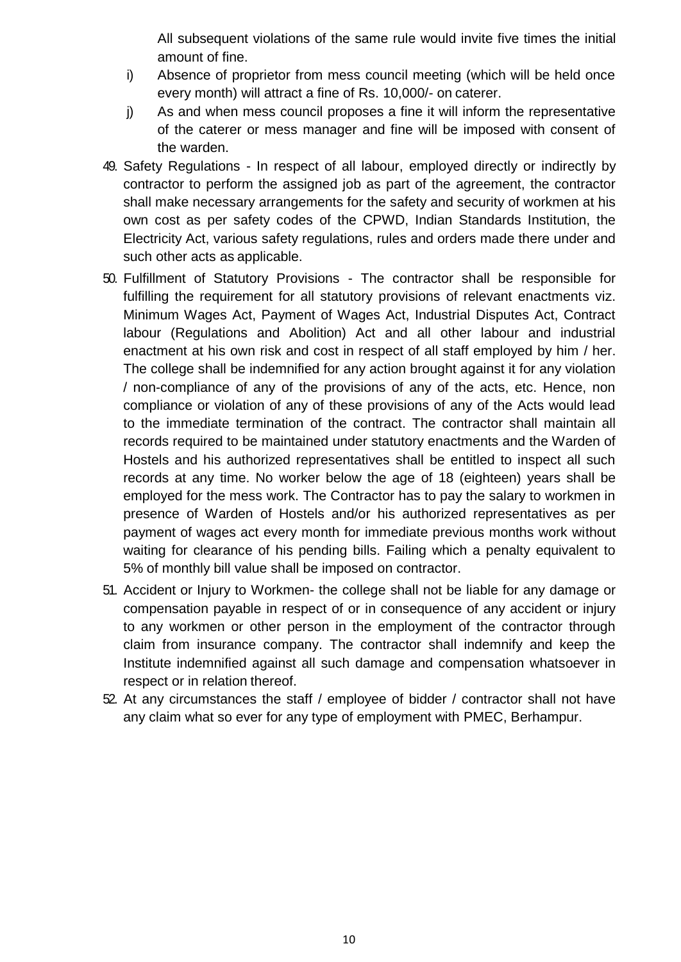All subsequent violations of the same rule would invite five times the initial amount of fine.

- i) Absence of proprietor from mess council meeting (which will be held once every month) will attract a fine of Rs. 10,000/- on caterer.
- j) As and when mess council proposes a fine it will inform the representative of the caterer or mess manager and fine will be imposed with consent of the warden.
- 49. Safety Regulations In respect of all labour, employed directly or indirectly by contractor to perform the assigned job as part of the agreement, the contractor shall make necessary arrangements for the safety and security of workmen at his own cost as per safety codes of the CPWD, Indian Standards Institution, the Electricity Act, various safety regulations, rules and orders made there under and such other acts as applicable.
- 50. Fulfillment of Statutory Provisions The contractor shall be responsible for fulfilling the requirement for all statutory provisions of relevant enactments viz. Minimum Wages Act, Payment of Wages Act, Industrial Disputes Act, Contract labour (Regulations and Abolition) Act and all other labour and industrial enactment at his own risk and cost in respect of all staff employed by him / her. The college shall be indemnified for any action brought against it for any violation / non-compliance of any of the provisions of any of the acts, etc. Hence, non compliance or violation of any of these provisions of any of the Acts would lead to the immediate termination of the contract. The contractor shall maintain all records required to be maintained under statutory enactments and the Warden of Hostels and his authorized representatives shall be entitled to inspect all such records at any time. No worker below the age of 18 (eighteen) years shall be employed for the mess work. The Contractor has to pay the salary to workmen in presence of Warden of Hostels and/or his authorized representatives as per payment of wages act every month for immediate previous months work without waiting for clearance of his pending bills. Failing which a penalty equivalent to 5% of monthly bill value shall be imposed on contractor.
- 51. Accident or Injury to Workmen- the college shall not be liable for any damage or compensation payable in respect of or in consequence of any accident or injury to any workmen or other person in the employment of the contractor through claim from insurance company. The contractor shall indemnify and keep the Institute indemnified against all such damage and compensation whatsoever in respect or in relation thereof.
- 52. At any circumstances the staff / employee of bidder / contractor shall not have any claim what so ever for any type of employment with PMEC, Berhampur.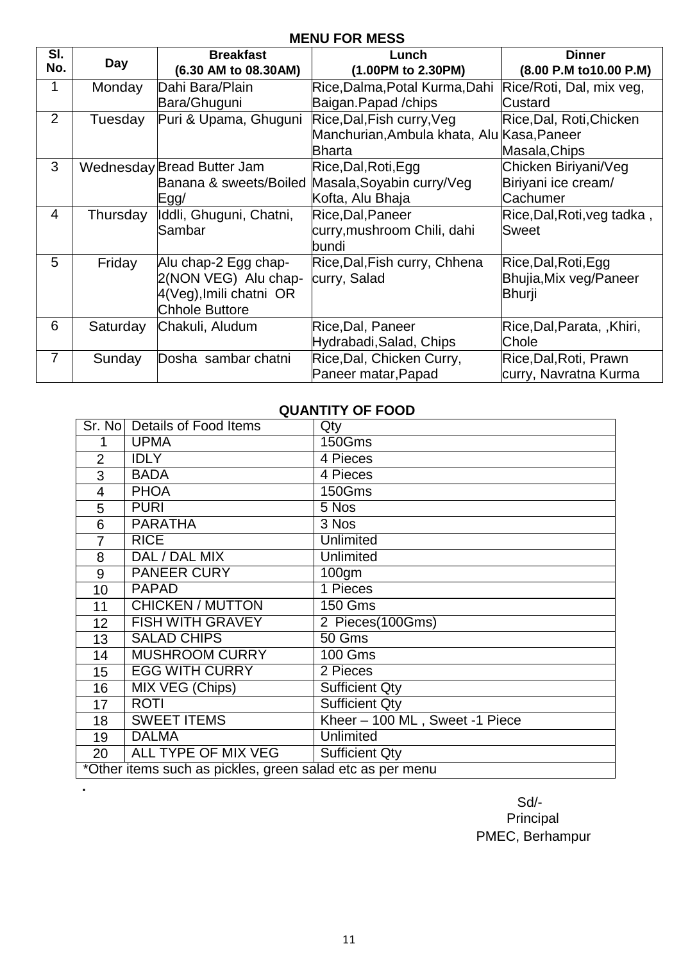## **MENU FOR MESS**

| SI.<br>No.     | Day      | <b>Breakfast</b>           | Lunch                                      | <b>Dinner</b>               |
|----------------|----------|----------------------------|--------------------------------------------|-----------------------------|
|                |          | (6.30 AM to 08.30AM)       | (1.00PM to 2.30PM)                         | (8.00 P.M to 10.00 P.M)     |
|                | Monday   | Dahi Bara/Plain            | Rice, Dalma, Potal Kurma, Dahi             | Rice/Roti, Dal, mix veg,    |
|                |          | Bara/Ghuguni               | Baigan.Papad /chips                        | Custard                     |
| 2              | Tuesday  | Puri & Upama, Ghuguni      | Rice, Dal, Fish curry, Veg                 | Rice, Dal, Roti, Chicken    |
|                |          |                            | Manchurian, Ambula khata, Alu Kasa, Paneer |                             |
|                |          |                            | <b>Bharta</b>                              | Masala, Chips               |
| 3              |          | Wednesday Bread Butter Jam | Rice, Dal, Roti, Egg                       | Chicken Biriyani/Veg        |
|                |          | Banana & sweets/Boiled     | Masala, Soyabin curry/Veg                  | Biriyani ice cream/         |
|                |          | Egg/                       | Kofta, Alu Bhaja                           | Cachumer                    |
| 4              | Thursday | Iddli, Ghuguni, Chatni,    | Rice, Dal, Paneer                          | Rice, Dal, Roti, veg tadka, |
|                |          | Sambar                     | curry, mushroom Chili, dahi                | <b>Sweet</b>                |
|                |          |                            | bundi                                      |                             |
| 5              | Friday   | Alu chap-2 Egg chap-       | Rice, Dal, Fish curry, Chhena              | Rice, Dal, Roti, Egg        |
|                |          | 2(NON VEG) Alu chap-       | curry, Salad                               | Bhujia, Mix veg/Paneer      |
|                |          | 4(Veg), Imili chatni OR    |                                            | Bhurji                      |
|                |          | <b>Chhole Buttore</b>      |                                            |                             |
| 6              | Saturday | Chakuli, Aludum            | Rice, Dal, Paneer                          | Rice, Dal, Parata, , Khiri, |
|                |          |                            | Hydrabadi, Salad, Chips                    | Chole                       |
| $\overline{7}$ | Sunday   | Dosha sambar chatni        | Rice, Dal, Chicken Curry,                  | Rice, Dal, Roti, Prawn      |
|                |          |                            | Paneer matar, Papad                        | curry, Navratna Kurma       |

## **QUANTITY OF FOOD**

|                | Sr. No   Details of Food Items                            | Qty                            |  |
|----------------|-----------------------------------------------------------|--------------------------------|--|
|                | <b>UPMA</b>                                               | 150Gms                         |  |
| $\overline{2}$ | <b>IDLY</b>                                               | 4 Pieces                       |  |
| 3              | <b>BADA</b>                                               | 4 Pieces                       |  |
| $\overline{4}$ | <b>PHOA</b>                                               | 150Gms                         |  |
| 5              | <b>PURI</b>                                               | 5 Nos                          |  |
| 6              | <b>PARATHA</b>                                            | 3 Nos                          |  |
| $\overline{7}$ | <b>RICE</b>                                               | <b>Unlimited</b>               |  |
| 8              | DAL / DAL MIX                                             | <b>Unlimited</b>               |  |
| 9              | <b>PANEER CURY</b>                                        | 100gm                          |  |
| 10             | <b>PAPAD</b>                                              | 1 Pieces                       |  |
| 11             | <b>CHICKEN / MUTTON</b>                                   | <b>150 Gms</b>                 |  |
| 12             | <b>FISH WITH GRAVEY</b>                                   | 2 Pieces(100Gms)               |  |
| 13             | <b>SALAD CHIPS</b>                                        | 50 Gms                         |  |
| 14             | <b>MUSHROOM CURRY</b>                                     | <b>100 Gms</b>                 |  |
| 15             | <b>EGG WITH CURRY</b>                                     | 2 Pieces                       |  |
| 16             | MIX VEG (Chips)                                           | <b>Sufficient Qty</b>          |  |
| 17             | <b>ROTI</b>                                               | <b>Sufficient Qty</b>          |  |
| 18             | <b>SWEET ITEMS</b>                                        | Kheer - 100 ML, Sweet -1 Piece |  |
| 19             | <b>DALMA</b>                                              | <b>Unlimited</b>               |  |
| 20             | <b>ALL TYPE OF MIX VEG</b>                                | <b>Sufficient Qty</b>          |  |
|                | *Other items such as pickles, green salad etc as per menu |                                |  |

Sd/- Principal PMEC, Berhampur

**.**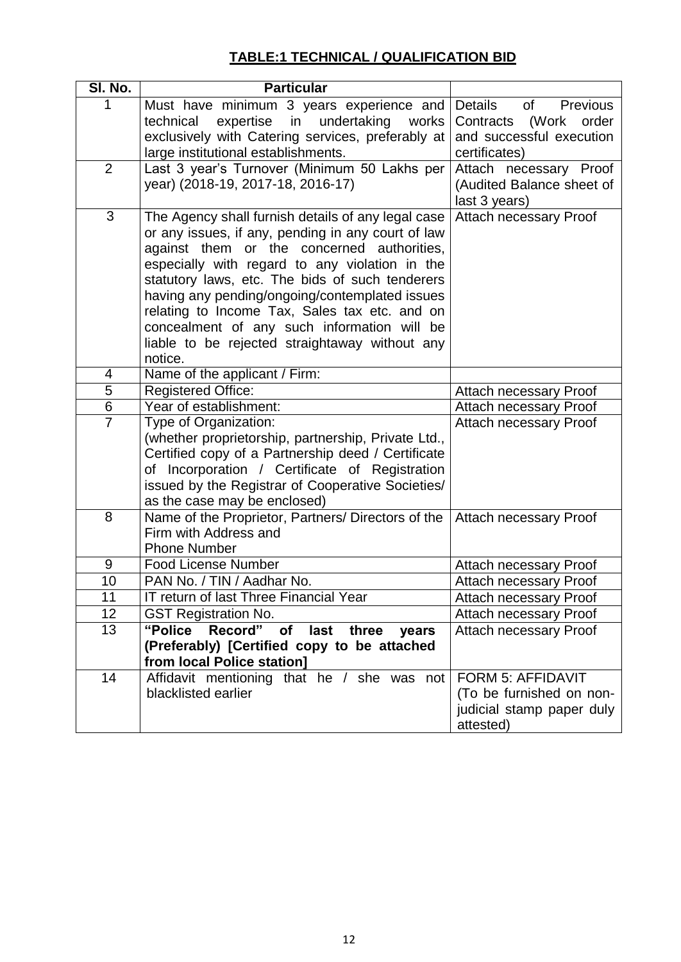## **TABLE:1 TECHNICAL / QUALIFICATION BID**

| <b>Particular</b>                                                                             |                                                                                                                                                                                                                                                                                                                                                                                                                                                                                                                                                                                                                                                                                                                                                                                                                                                                                                                                                                                                                                                                                                                                                              |
|-----------------------------------------------------------------------------------------------|--------------------------------------------------------------------------------------------------------------------------------------------------------------------------------------------------------------------------------------------------------------------------------------------------------------------------------------------------------------------------------------------------------------------------------------------------------------------------------------------------------------------------------------------------------------------------------------------------------------------------------------------------------------------------------------------------------------------------------------------------------------------------------------------------------------------------------------------------------------------------------------------------------------------------------------------------------------------------------------------------------------------------------------------------------------------------------------------------------------------------------------------------------------|
| Must have minimum 3 years experience and<br>expertise in<br>undertaking<br>technical<br>works | <b>Details</b><br>of Previous<br>(Work<br>Contracts<br>order                                                                                                                                                                                                                                                                                                                                                                                                                                                                                                                                                                                                                                                                                                                                                                                                                                                                                                                                                                                                                                                                                                 |
| exclusively with Catering services, preferably at                                             | and successful execution<br>certificates)                                                                                                                                                                                                                                                                                                                                                                                                                                                                                                                                                                                                                                                                                                                                                                                                                                                                                                                                                                                                                                                                                                                    |
| Last 3 year's Turnover (Minimum 50 Lakhs per                                                  | Attach necessary Proof                                                                                                                                                                                                                                                                                                                                                                                                                                                                                                                                                                                                                                                                                                                                                                                                                                                                                                                                                                                                                                                                                                                                       |
|                                                                                               | (Audited Balance sheet of                                                                                                                                                                                                                                                                                                                                                                                                                                                                                                                                                                                                                                                                                                                                                                                                                                                                                                                                                                                                                                                                                                                                    |
|                                                                                               | last 3 years)                                                                                                                                                                                                                                                                                                                                                                                                                                                                                                                                                                                                                                                                                                                                                                                                                                                                                                                                                                                                                                                                                                                                                |
|                                                                                               | Attach necessary Proof                                                                                                                                                                                                                                                                                                                                                                                                                                                                                                                                                                                                                                                                                                                                                                                                                                                                                                                                                                                                                                                                                                                                       |
|                                                                                               |                                                                                                                                                                                                                                                                                                                                                                                                                                                                                                                                                                                                                                                                                                                                                                                                                                                                                                                                                                                                                                                                                                                                                              |
|                                                                                               |                                                                                                                                                                                                                                                                                                                                                                                                                                                                                                                                                                                                                                                                                                                                                                                                                                                                                                                                                                                                                                                                                                                                                              |
|                                                                                               |                                                                                                                                                                                                                                                                                                                                                                                                                                                                                                                                                                                                                                                                                                                                                                                                                                                                                                                                                                                                                                                                                                                                                              |
|                                                                                               |                                                                                                                                                                                                                                                                                                                                                                                                                                                                                                                                                                                                                                                                                                                                                                                                                                                                                                                                                                                                                                                                                                                                                              |
| relating to Income Tax, Sales tax etc. and on                                                 |                                                                                                                                                                                                                                                                                                                                                                                                                                                                                                                                                                                                                                                                                                                                                                                                                                                                                                                                                                                                                                                                                                                                                              |
| concealment of any such information will be                                                   |                                                                                                                                                                                                                                                                                                                                                                                                                                                                                                                                                                                                                                                                                                                                                                                                                                                                                                                                                                                                                                                                                                                                                              |
|                                                                                               |                                                                                                                                                                                                                                                                                                                                                                                                                                                                                                                                                                                                                                                                                                                                                                                                                                                                                                                                                                                                                                                                                                                                                              |
|                                                                                               |                                                                                                                                                                                                                                                                                                                                                                                                                                                                                                                                                                                                                                                                                                                                                                                                                                                                                                                                                                                                                                                                                                                                                              |
|                                                                                               |                                                                                                                                                                                                                                                                                                                                                                                                                                                                                                                                                                                                                                                                                                                                                                                                                                                                                                                                                                                                                                                                                                                                                              |
|                                                                                               | <b>Attach necessary Proof</b>                                                                                                                                                                                                                                                                                                                                                                                                                                                                                                                                                                                                                                                                                                                                                                                                                                                                                                                                                                                                                                                                                                                                |
|                                                                                               | Attach necessary Proof                                                                                                                                                                                                                                                                                                                                                                                                                                                                                                                                                                                                                                                                                                                                                                                                                                                                                                                                                                                                                                                                                                                                       |
|                                                                                               | <b>Attach necessary Proof</b>                                                                                                                                                                                                                                                                                                                                                                                                                                                                                                                                                                                                                                                                                                                                                                                                                                                                                                                                                                                                                                                                                                                                |
|                                                                                               |                                                                                                                                                                                                                                                                                                                                                                                                                                                                                                                                                                                                                                                                                                                                                                                                                                                                                                                                                                                                                                                                                                                                                              |
|                                                                                               |                                                                                                                                                                                                                                                                                                                                                                                                                                                                                                                                                                                                                                                                                                                                                                                                                                                                                                                                                                                                                                                                                                                                                              |
|                                                                                               |                                                                                                                                                                                                                                                                                                                                                                                                                                                                                                                                                                                                                                                                                                                                                                                                                                                                                                                                                                                                                                                                                                                                                              |
|                                                                                               |                                                                                                                                                                                                                                                                                                                                                                                                                                                                                                                                                                                                                                                                                                                                                                                                                                                                                                                                                                                                                                                                                                                                                              |
| Name of the Proprietor, Partners/ Directors of the                                            | <b>Attach necessary Proof</b>                                                                                                                                                                                                                                                                                                                                                                                                                                                                                                                                                                                                                                                                                                                                                                                                                                                                                                                                                                                                                                                                                                                                |
| Firm with Address and                                                                         |                                                                                                                                                                                                                                                                                                                                                                                                                                                                                                                                                                                                                                                                                                                                                                                                                                                                                                                                                                                                                                                                                                                                                              |
| <b>Phone Number</b>                                                                           |                                                                                                                                                                                                                                                                                                                                                                                                                                                                                                                                                                                                                                                                                                                                                                                                                                                                                                                                                                                                                                                                                                                                                              |
|                                                                                               | <b>Attach necessary Proof</b>                                                                                                                                                                                                                                                                                                                                                                                                                                                                                                                                                                                                                                                                                                                                                                                                                                                                                                                                                                                                                                                                                                                                |
|                                                                                               | <b>Attach necessary Proof</b>                                                                                                                                                                                                                                                                                                                                                                                                                                                                                                                                                                                                                                                                                                                                                                                                                                                                                                                                                                                                                                                                                                                                |
|                                                                                               | Attach necessary Proof                                                                                                                                                                                                                                                                                                                                                                                                                                                                                                                                                                                                                                                                                                                                                                                                                                                                                                                                                                                                                                                                                                                                       |
|                                                                                               | <b>Attach necessary Proof</b>                                                                                                                                                                                                                                                                                                                                                                                                                                                                                                                                                                                                                                                                                                                                                                                                                                                                                                                                                                                                                                                                                                                                |
|                                                                                               | <b>Attach necessary Proof</b>                                                                                                                                                                                                                                                                                                                                                                                                                                                                                                                                                                                                                                                                                                                                                                                                                                                                                                                                                                                                                                                                                                                                |
|                                                                                               |                                                                                                                                                                                                                                                                                                                                                                                                                                                                                                                                                                                                                                                                                                                                                                                                                                                                                                                                                                                                                                                                                                                                                              |
|                                                                                               | <b>FORM 5: AFFIDAVIT</b>                                                                                                                                                                                                                                                                                                                                                                                                                                                                                                                                                                                                                                                                                                                                                                                                                                                                                                                                                                                                                                                                                                                                     |
|                                                                                               | (To be furnished on non-                                                                                                                                                                                                                                                                                                                                                                                                                                                                                                                                                                                                                                                                                                                                                                                                                                                                                                                                                                                                                                                                                                                                     |
|                                                                                               | judicial stamp paper duly                                                                                                                                                                                                                                                                                                                                                                                                                                                                                                                                                                                                                                                                                                                                                                                                                                                                                                                                                                                                                                                                                                                                    |
|                                                                                               | attested)                                                                                                                                                                                                                                                                                                                                                                                                                                                                                                                                                                                                                                                                                                                                                                                                                                                                                                                                                                                                                                                                                                                                                    |
|                                                                                               | large institutional establishments.<br>year) (2018-19, 2017-18, 2016-17)<br>The Agency shall furnish details of any legal case<br>or any issues, if any, pending in any court of law<br>against them or the concerned authorities,<br>especially with regard to any violation in the<br>statutory laws, etc. The bids of such tenderers<br>having any pending/ongoing/contemplated issues<br>liable to be rejected straightaway without any<br>notice.<br>Name of the applicant / Firm:<br><b>Registered Office:</b><br>Year of establishment:<br>Type of Organization:<br>(whether proprietorship, partnership, Private Ltd.,<br>Certified copy of a Partnership deed / Certificate<br>of Incorporation / Certificate of Registration<br>issued by the Registrar of Cooperative Societies/<br>as the case may be enclosed)<br><b>Food License Number</b><br>PAN No. / TIN / Aadhar No.<br>IT return of last Three Financial Year<br><b>GST Registration No.</b><br>"Police Record" of last three<br>years<br>(Preferably) [Certified copy to be attached<br>from local Police station]<br>Affidavit mentioning that he / she was not<br>blacklisted earlier |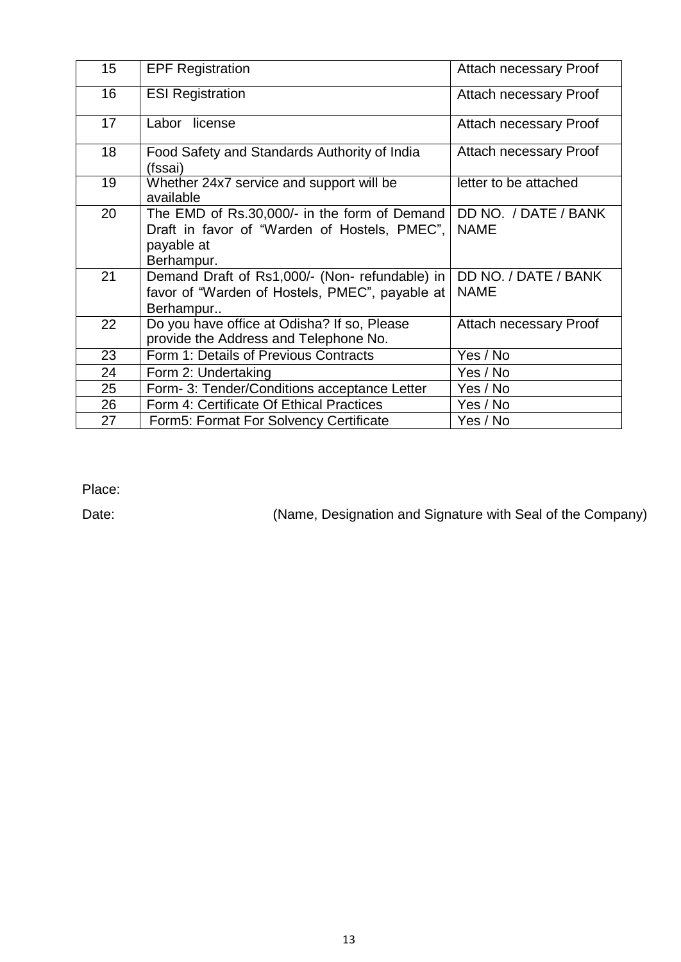| 15 | <b>EPF Registration</b>                                                                                                  | Attach necessary Proof              |
|----|--------------------------------------------------------------------------------------------------------------------------|-------------------------------------|
| 16 | <b>ESI Registration</b>                                                                                                  | Attach necessary Proof              |
| 17 | Labor license                                                                                                            | Attach necessary Proof              |
| 18 | Food Safety and Standards Authority of India<br>(fssai)                                                                  | Attach necessary Proof              |
| 19 | Whether 24x7 service and support will be<br>available                                                                    | letter to be attached               |
| 20 | The EMD of Rs.30,000/- in the form of Demand<br>Draft in favor of "Warden of Hostels, PMEC",<br>payable at<br>Berhampur. | DD NO. / DATE / BANK<br><b>NAME</b> |
| 21 | Demand Draft of Rs1,000/- (Non-refundable) in<br>favor of "Warden of Hostels, PMEC", payable at<br>Berhampur             | DD NO. / DATE / BANK<br><b>NAME</b> |
| 22 | Do you have office at Odisha? If so, Please<br>provide the Address and Telephone No.                                     | Attach necessary Proof              |
| 23 | Form 1: Details of Previous Contracts                                                                                    | Yes / No                            |
| 24 | Form 2: Undertaking                                                                                                      | Yes / No                            |
| 25 | Form- 3: Tender/Conditions acceptance Letter                                                                             | Yes / No                            |
| 26 | Form 4: Certificate Of Ethical Practices                                                                                 | Yes / No                            |
| 27 | Form5: Format For Solvency Certificate                                                                                   | Yes / No                            |

Place:

Date: (Name, Designation and Signature with Seal of the Company)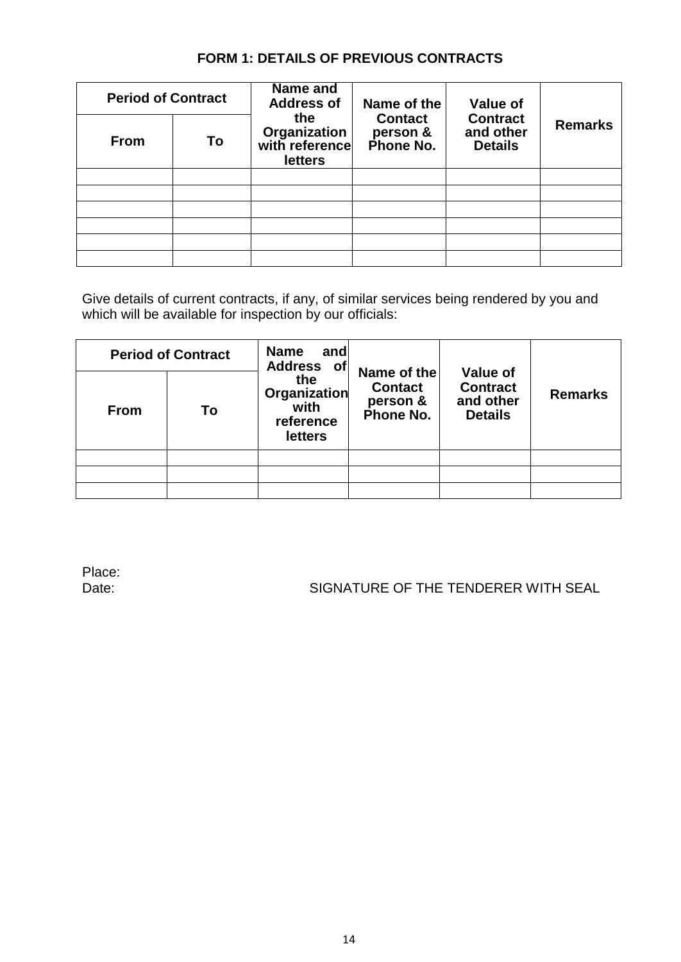| <b>Period of Contract</b> |    | Name and<br><b>Address of</b>                           | Name of the                             | <b>Value of</b>                                |                |
|---------------------------|----|---------------------------------------------------------|-----------------------------------------|------------------------------------------------|----------------|
| <b>From</b>               | To | the<br>Organization<br>with reference<br><b>letters</b> | <b>Contact</b><br>person &<br>Phone No. | <b>Contract</b><br>and other<br><b>Details</b> | <b>Remarks</b> |
|                           |    |                                                         |                                         |                                                |                |
|                           |    |                                                         |                                         |                                                |                |
|                           |    |                                                         |                                         |                                                |                |
|                           |    |                                                         |                                         |                                                |                |
|                           |    |                                                         |                                         |                                                |                |
|                           |    |                                                         |                                         |                                                |                |

## **FORM 1: DETAILS OF PREVIOUS CONTRACTS**

Give details of current contracts, if any, of similar services being rendered by you and which will be available for inspection by our officials:

|             | <b>Period of Contract</b> | <b>Name</b><br>and<br><b>Address</b><br>∣of                       |                                                        |                                                                   | <b>Remarks</b> |
|-------------|---------------------------|-------------------------------------------------------------------|--------------------------------------------------------|-------------------------------------------------------------------|----------------|
| <b>From</b> | To                        | the<br><b>Organization</b><br>with<br>reference<br><b>letters</b> | Name of the<br><b>Contact</b><br>person &<br>Phone No. | <b>Value of</b><br><b>Contract</b><br>and other<br><b>Details</b> |                |
|             |                           |                                                                   |                                                        |                                                                   |                |
|             |                           |                                                                   |                                                        |                                                                   |                |
|             |                           |                                                                   |                                                        |                                                                   |                |

Place:

Date: SIGNATURE OF THE TENDERER WITH SEAL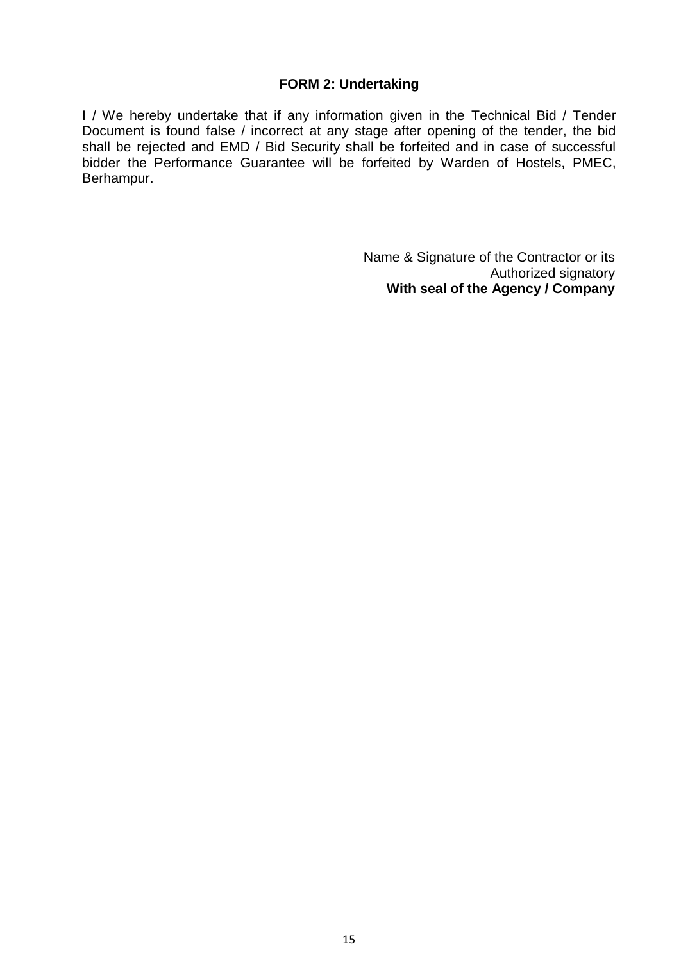#### **FORM 2: Undertaking**

I / We hereby undertake that if any information given in the Technical Bid / Tender Document is found false / incorrect at any stage after opening of the tender, the bid shall be rejected and EMD / Bid Security shall be forfeited and in case of successful bidder the Performance Guarantee will be forfeited by Warden of Hostels, PMEC, Berhampur.

> Name & Signature of the Contractor or its Authorized signatory **With seal of the Agency / Company**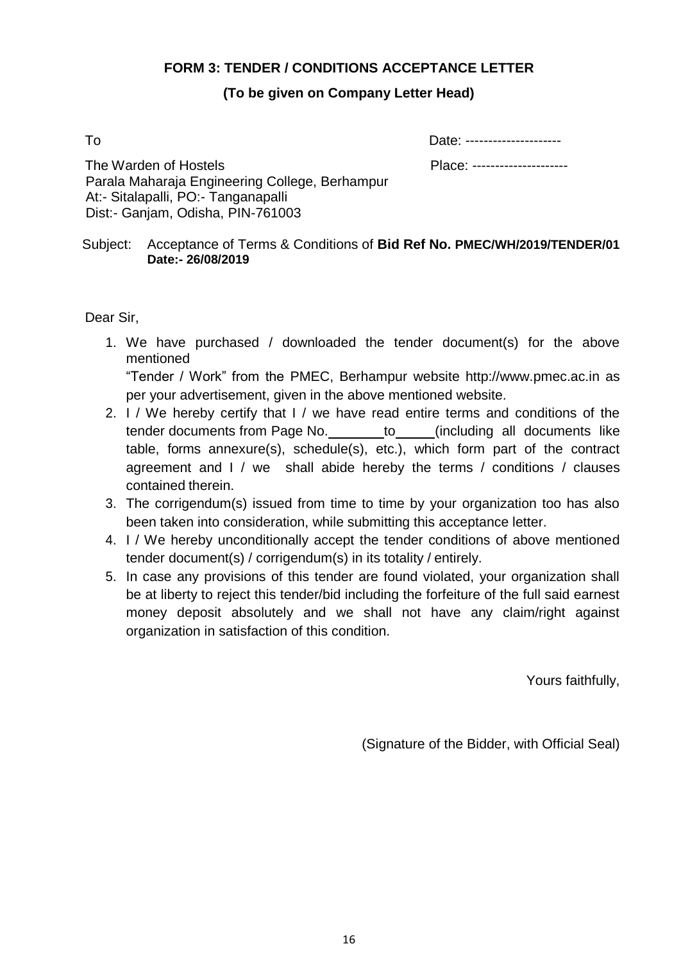#### **FORM 3: TENDER / CONDITIONS ACCEPTANCE LETTER**

#### **(To be given on Company Letter Head)**

To Date: ---------------------

The Warden of Hostels Place: --------------------- Parala Maharaja Engineering College, Berhampur At:- Sitalapalli, PO:- Tanganapalli Dist:- Ganjam, Odisha, PIN-761003

Subject: Acceptance of Terms & Conditions of **Bid Ref No. PMEC/WH/2019/TENDER/01 Date:- 26/08/2019**

Dear Sir,

1. We have purchased / downloaded the tender document(s) for the above mentioned

"Tender / Work" from the PMEC, Berhampur website [http://www.pmec.ac.in a](http://www.pmec.ac.in/)s per your advertisement, given in the above mentioned website.

- 2. I / We hereby certify that I / we have read entire terms and conditions of the tender documents from Page No. to (including all documents like table, forms annexure(s), schedule(s), etc.), which form part of the contract agreement and I / we shall abide hereby the terms / conditions / clauses contained therein.
- 3. The corrigendum(s) issued from time to time by your organization too has also been taken into consideration, while submitting this acceptance letter.
- 4. I / We hereby unconditionally accept the tender conditions of above mentioned tender document(s) / corrigendum(s) in its totality / entirely.
- 5. In case any provisions of this tender are found violated, your organization shall be at liberty to reject this tender/bid including the forfeiture of the full said earnest money deposit absolutely and we shall not have any claim/right against organization in satisfaction of this condition.

Yours faithfully,

(Signature of the Bidder, with Official Seal)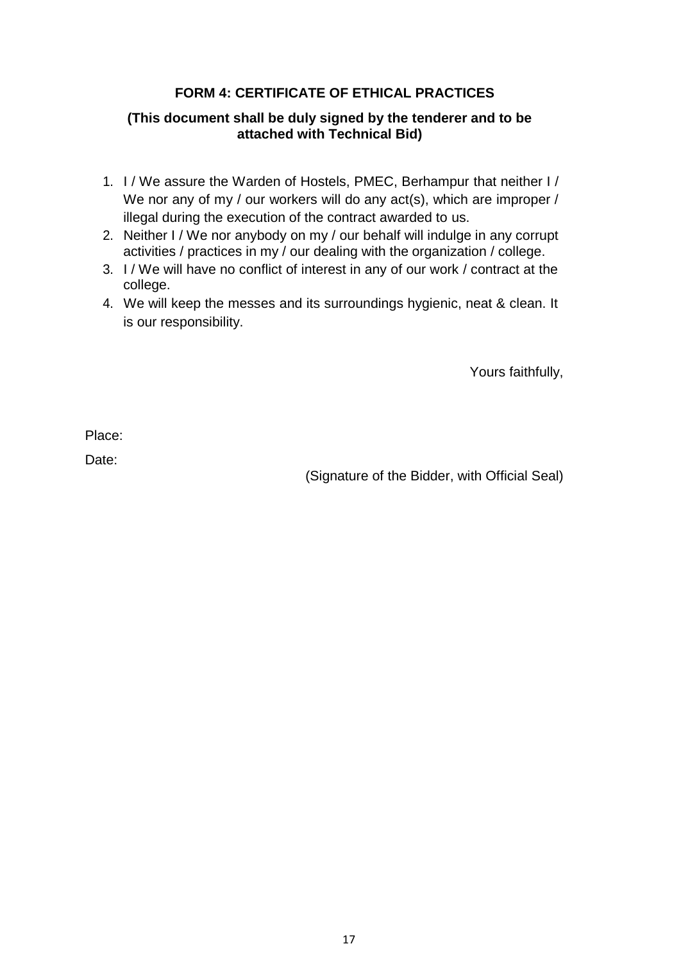## **FORM 4: CERTIFICATE OF ETHICAL PRACTICES**

#### **(This document shall be duly signed by the tenderer and to be attached with Technical Bid)**

- 1. I / We assure the Warden of Hostels, PMEC, Berhampur that neither I / We nor any of my / our workers will do any act(s), which are improper / illegal during the execution of the contract awarded to us.
- 2. Neither I / We nor anybody on my / our behalf will indulge in any corrupt activities / practices in my / our dealing with the organization / college.
- 3. I / We will have no conflict of interest in any of our work / contract at the college.
- 4. We will keep the messes and its surroundings hygienic, neat & clean. It is our responsibility.

Yours faithfully,

Place:

Date:

(Signature of the Bidder, with Official Seal)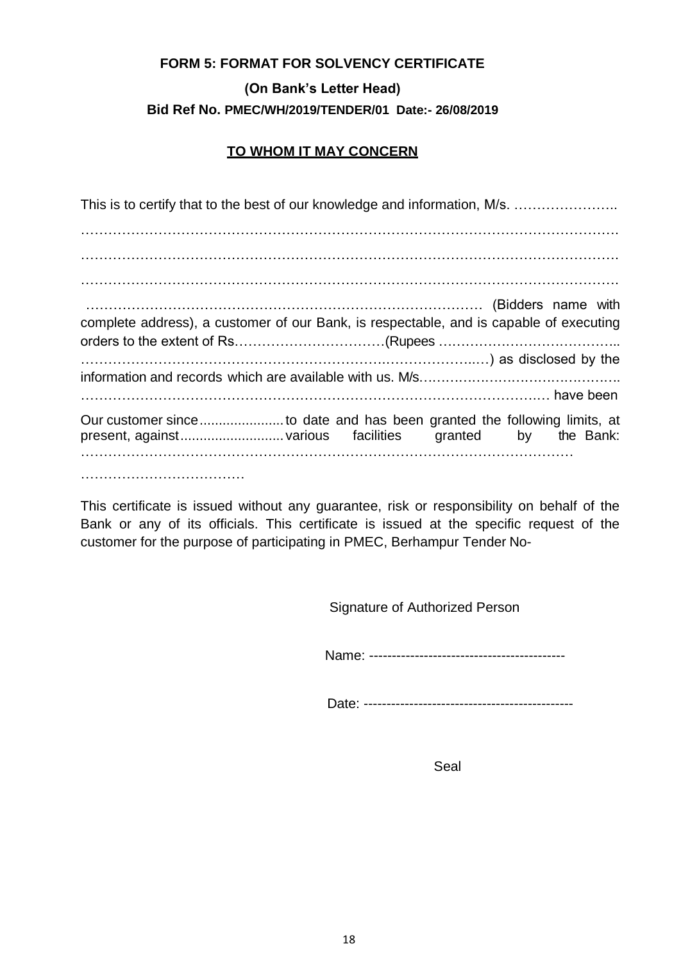# **FORM 5: FORMAT FOR SOLVENCY CERTIFICATE (On Bank's Letter Head) Bid Ref No. PMEC/WH/2019/TENDER/01 Date:- 26/08/2019**

### **TO WHOM IT MAY CONCERN**

| This is to certify that to the best of our knowledge and information, M/s.             |
|----------------------------------------------------------------------------------------|
|                                                                                        |
|                                                                                        |
|                                                                                        |
|                                                                                        |
|                                                                                        |
| complete address), a customer of our Bank, is respectable, and is capable of executing |
|                                                                                        |
|                                                                                        |
|                                                                                        |
|                                                                                        |
| Our customer sinceto date and has been granted the following limits, at                |
|                                                                                        |

This certificate is issued without any guarantee, risk or responsibility on behalf of the Bank or any of its officials. This certificate is issued at the specific request of the customer for the purpose of participating in PMEC, Berhampur Tender No-

Signature of Authorized Person

Name: -------------------------------------------

Date: ----------------------------------------------

Seal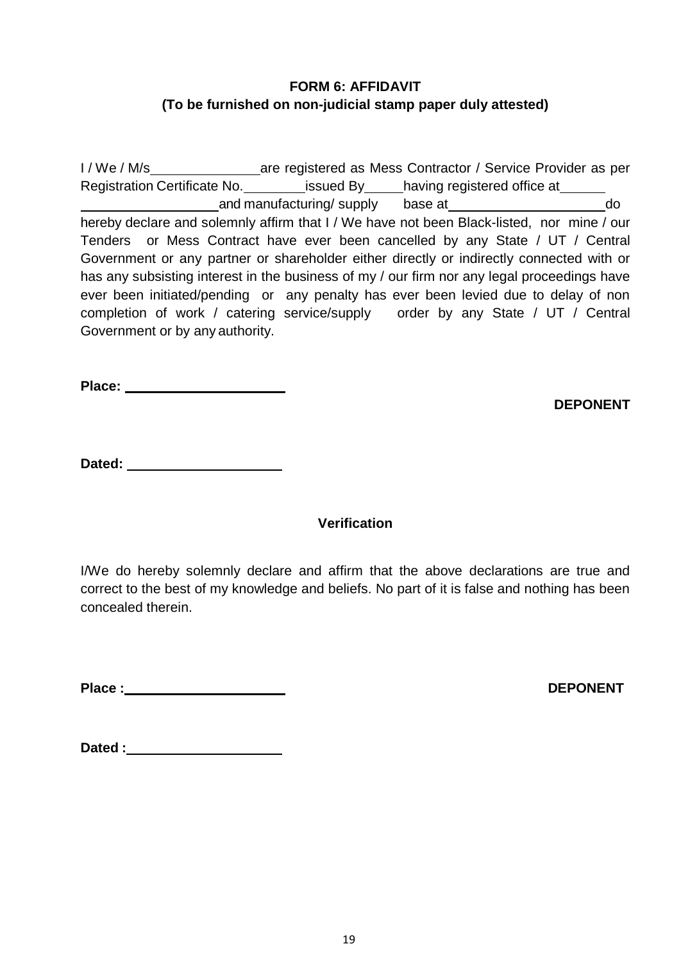## **FORM 6: AFFIDAVIT (To be furnished on non-judicial stamp paper duly attested)**

I / We / M/s are registered as Mess Contractor / Service Provider as per Registration Certificate No. \_\_\_\_\_\_\_\_\_\_issued By\_\_\_\_\_having registered office at\_\_\_\_\_\_\_ and manufacturing/ supply base at do do hereby declare and solemnly affirm that I / We have not been Black-listed, nor mine / our Tenders or Mess Contract have ever been cancelled by any State / UT / Central Government or any partner or shareholder either directly or indirectly connected with or has any subsisting interest in the business of my / our firm nor any legal proceedings have ever been initiated/pending or any penalty has ever been levied due to delay of non completion of work / catering service/supply order by any State / UT / Central Government or by any authority.

**Place:**

**DEPONENT**

**Dated:**

## **Verification**

I/We do hereby solemnly declare and affirm that the above declarations are true and correct to the best of my knowledge and beliefs. No part of it is false and nothing has been concealed therein.

Place **:** DEPONENT

**Dated :**